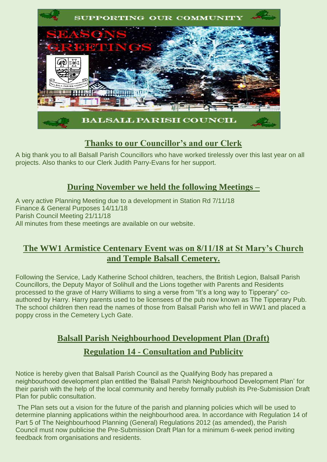

## **Thanks to our Councillor's and our Clerk**

A big thank you to all Balsall Parish Councillors who have worked tirelessly over this last year on all projects. Also thanks to our Clerk Judith Parry-Evans for her support.

## **During November we held the following Meetings –**

A very active Planning Meeting due to a development in Station Rd 7/11/18 Finance & General Purposes 14/11/18 Parish Council Meeting 21/11/18 All minutes from these meetings are available on our website.

## **The WW1 Armistice Centenary Event was on 8/11/18 at St Mary's Church and Temple Balsall Cemetery.**

Following the Service, Lady Katherine School children, teachers, the British Legion, Balsall Parish Councillors, the Deputy Mayor of Solihull and the Lions together with Parents and Residents processed to the grave of Harry Williams to sing a verse from "It's a long way to Tipperary" coauthored by Harry. Harry parents used to be licensees of the pub now known as The Tipperary Pub. The school children then read the names of those from Balsall Parish who fell in WW1 and placed a poppy cross in the Cemetery Lych Gate.

# **Balsall Parish Neighbourhood Development Plan (Draft) Regulation 14 - Consultation and Publicity**

Notice is hereby given that Balsall Parish Council as the Qualifying Body has prepared a neighbourhood development plan entitled the 'Balsall Parish Neighbourhood Development Plan' for their parish with the help of the local community and hereby formally publish its Pre-Submission Draft Plan for public consultation.

The Plan sets out a vision for the future of the parish and planning policies which will be used to determine planning applications within the neighbourhood area. In accordance with Regulation 14 of Part 5 of The Neighbourhood Planning (General) Regulations 2012 (as amended), the Parish Council must now publicise the Pre-Submission Draft Plan for a minimum 6-week period inviting feedback from organisations and residents.